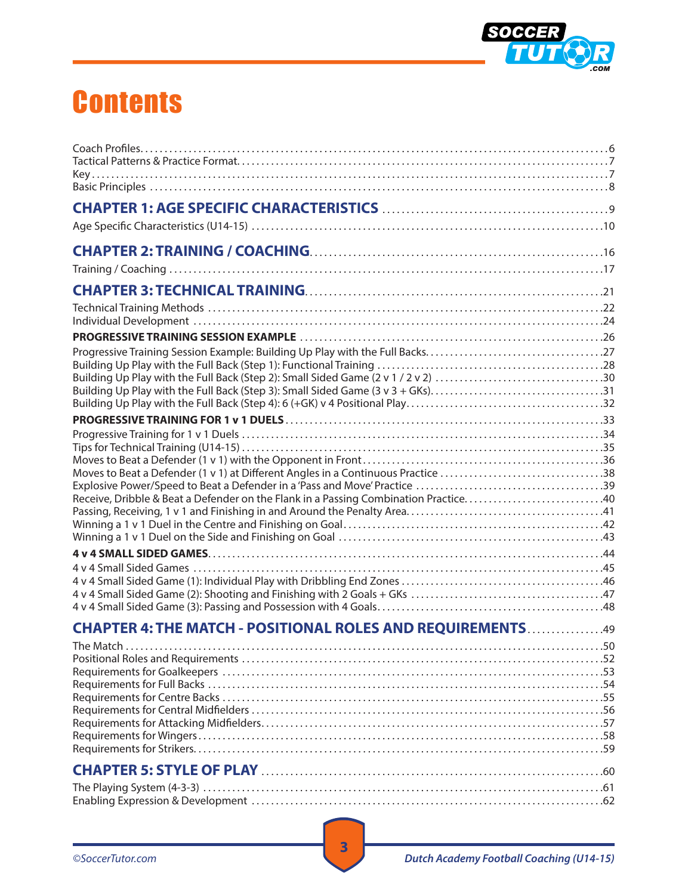

## **Contents**

| Building Up Play with the Full Back (Step 3): Small Sided Game (3 v 3 + GKs)31      |  |
|-------------------------------------------------------------------------------------|--|
|                                                                                     |  |
|                                                                                     |  |
| Moves to Beat a Defender (1 v 1) at Different Angles in a Continuous Practice 38    |  |
| Receive, Dribble & Beat a Defender on the Flank in a Passing Combination Practice40 |  |
|                                                                                     |  |
|                                                                                     |  |
|                                                                                     |  |
|                                                                                     |  |
| CHAPTER 4: THE MATCH - POSITIONAL ROLES AND REQUIREMENTS 49                         |  |
|                                                                                     |  |
|                                                                                     |  |
|                                                                                     |  |
|                                                                                     |  |
|                                                                                     |  |
|                                                                                     |  |
|                                                                                     |  |
|                                                                                     |  |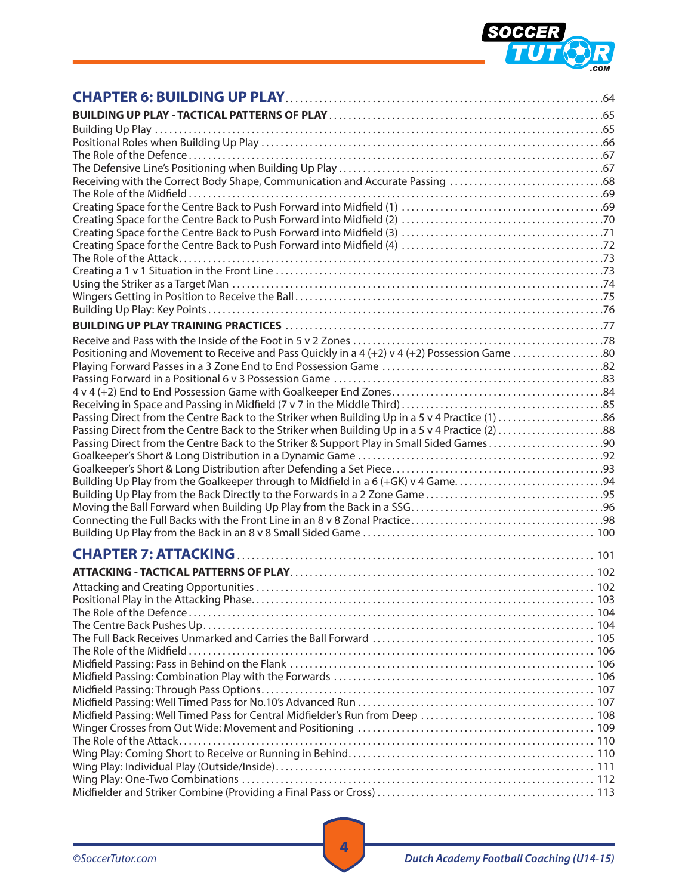

| Receiving with the Correct Body Shape, Communication and Accurate Passing 68                   |  |
|------------------------------------------------------------------------------------------------|--|
|                                                                                                |  |
|                                                                                                |  |
|                                                                                                |  |
|                                                                                                |  |
|                                                                                                |  |
|                                                                                                |  |
|                                                                                                |  |
|                                                                                                |  |
|                                                                                                |  |
|                                                                                                |  |
|                                                                                                |  |
| Positioning and Movement to Receive and Pass Quickly in a 4 (+2) v 4 (+2) Possession Game 80   |  |
|                                                                                                |  |
|                                                                                                |  |
|                                                                                                |  |
| Passing Direct from the Centre Back to the Striker when Building Up in a 5 v 4 Practice (1) 86 |  |
| Passing Direct from the Centre Back to the Striker when Building Up in a 5 v 4 Practice (2) 88 |  |
| Passing Direct from the Centre Back to the Striker & Support Play in Small Sided Games90       |  |
|                                                                                                |  |
|                                                                                                |  |
|                                                                                                |  |
|                                                                                                |  |
|                                                                                                |  |
|                                                                                                |  |
|                                                                                                |  |
|                                                                                                |  |
|                                                                                                |  |
|                                                                                                |  |
|                                                                                                |  |
|                                                                                                |  |
|                                                                                                |  |
|                                                                                                |  |
|                                                                                                |  |
|                                                                                                |  |
|                                                                                                |  |
|                                                                                                |  |
|                                                                                                |  |
|                                                                                                |  |
|                                                                                                |  |
|                                                                                                |  |
|                                                                                                |  |